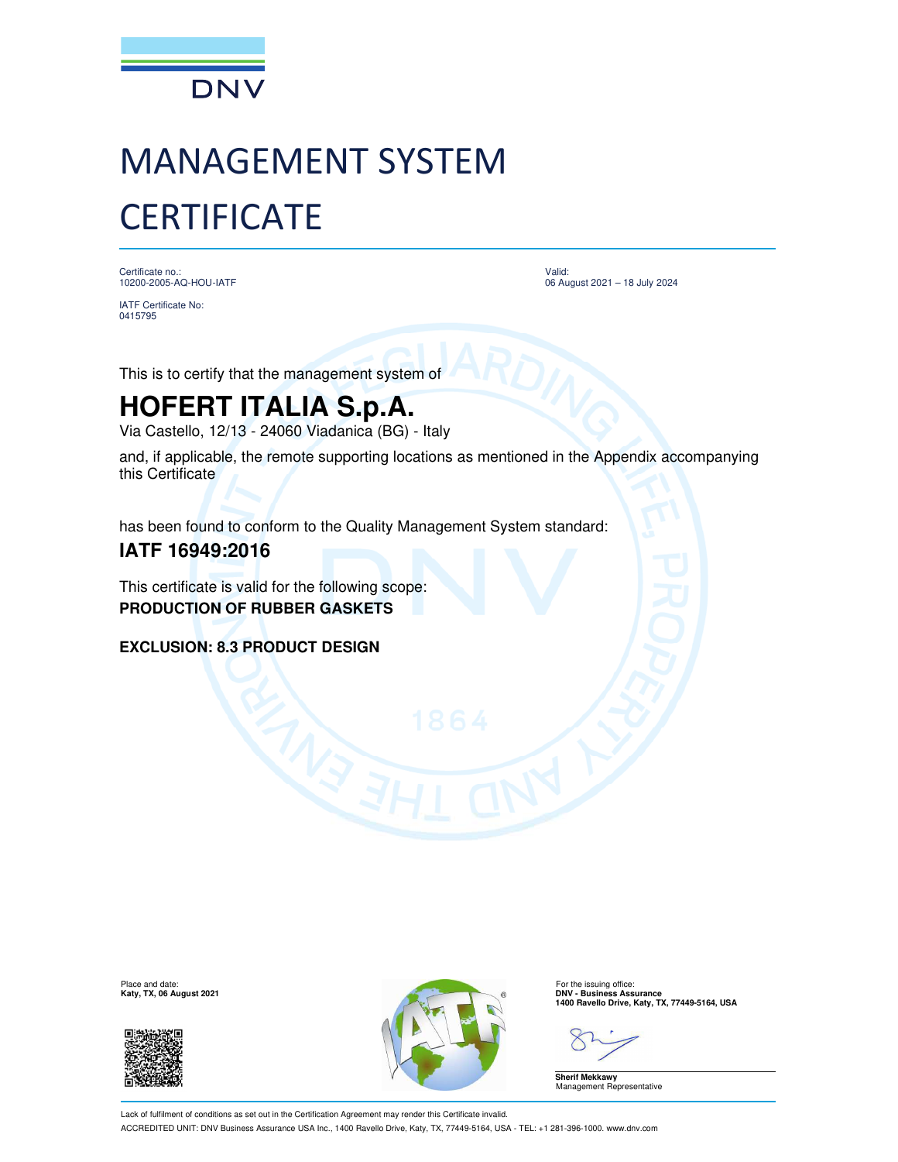

# MANAGEMENT SYSTEM **CERTIFICATE**

Certificate no.: 10200-2005-AQ-HOU-IATF

IATF Certificate No: 0415795

Valid: 06 August 2021 – 18 July 2024

This is to certify that the management system of

## **HOFERT ITALIA S.p.A.**

Via Castello, 12/13 - 24060 Viadanica (BG) - Italy

and, if applicable, the remote supporting locations as mentioned in the Appendix accompanying this Certificate

has been found to conform to the Quality Management System standard:

### **IATF 16949:2016**

This certificate is valid for the following scope: **PRODUCTION OF RUBBER GASKETS**

**EXCLUSION: 8.3 PRODUCT DESIGN**

Place and date:<br>Katy, TX, 06 August 2021





For the issuing office:<br>**DNV - Business Assurance 1400 Ravello Drive, Katy, TX, 77449-5164, USA**

**Sherif Mekkawy** Management Representative

Lack of fulfilment of conditions as set out in the Certification Agreement may render this Certificate invalid. ACCREDITED UNIT: DNV Business Assurance USA Inc., 1400 Ravello Drive, Katy, TX, 77449-5164, USA - TEL: +1 281-396-1000. www.dnv.com